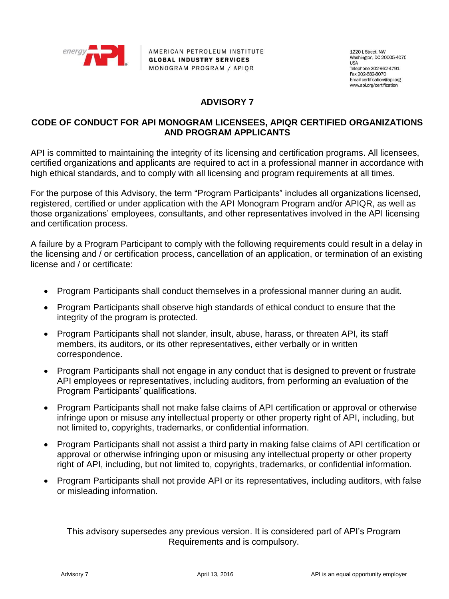

AMERICAN PETROLEUM INSTITUTE **GLOBAL INDUSTRY SERVICES** MONOGRAM PROGRAM / APIOR

1220 L Street, NW Washington, DC 20005-4070 **LISA** Telephone 202-962-4791 Fax 202-682-8070 Email certification@api.org www.api.org/certification

## **ADVISORY 7**

## **CODE OF CONDUCT FOR API MONOGRAM LICENSEES, APIQR CERTIFIED ORGANIZATIONS AND PROGRAM APPLICANTS**

API is committed to maintaining the integrity of its licensing and certification programs. All licensees, certified organizations and applicants are required to act in a professional manner in accordance with high ethical standards, and to comply with all licensing and program requirements at all times.

For the purpose of this Advisory, the term "Program Participants" includes all organizations licensed, registered, certified or under application with the API Monogram Program and/or APIQR, as well as those organizations' employees, consultants, and other representatives involved in the API licensing and certification process.

A failure by a Program Participant to comply with the following requirements could result in a delay in the licensing and / or certification process, cancellation of an application, or termination of an existing license and / or certificate:

- Program Participants shall conduct themselves in a professional manner during an audit.
- Program Participants shall observe high standards of ethical conduct to ensure that the integrity of the program is protected.
- Program Participants shall not slander, insult, abuse, harass, or threaten API, its staff members, its auditors, or its other representatives, either verbally or in written correspondence.
- Program Participants shall not engage in any conduct that is designed to prevent or frustrate API employees or representatives, including auditors, from performing an evaluation of the Program Participants' qualifications.
- Program Participants shall not make false claims of API certification or approval or otherwise infringe upon or misuse any intellectual property or other property right of API, including, but not limited to, copyrights, trademarks, or confidential information.
- Program Participants shall not assist a third party in making false claims of API certification or approval or otherwise infringing upon or misusing any intellectual property or other property right of API, including, but not limited to, copyrights, trademarks, or confidential information.
- Program Participants shall not provide API or its representatives, including auditors, with false or misleading information.

This advisory supersedes any previous version. It is considered part of API's Program Requirements and is compulsory.